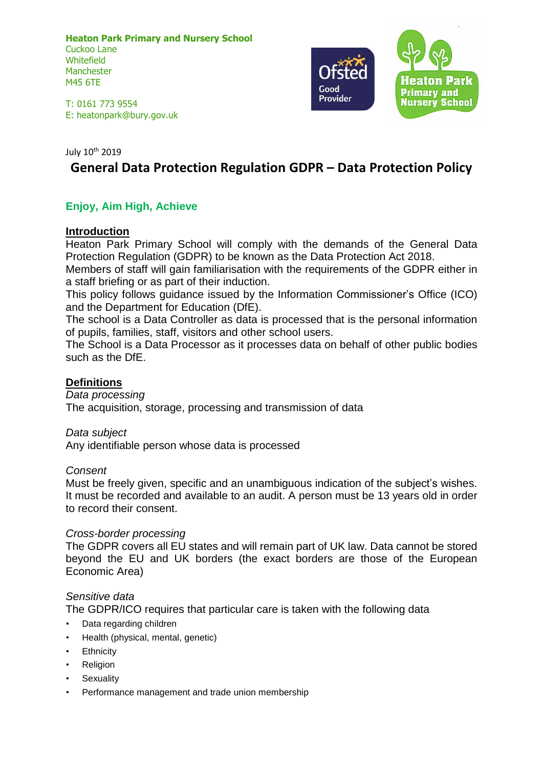**Heaton Park Primary and Nursery School** Cuckoo Lane **Whitefield Manchester** M45 6TE



T: 0161 773 9554 E: heatonpark@bury.gov.uk

#### July 10<sup>th</sup> 2019

# **General Data Protection Regulation GDPR – Data Protection Policy**

## **Enjoy, Aim High, Achieve**

#### **Introduction**

Heaton Park Primary School will comply with the demands of the General Data Protection Regulation (GDPR) to be known as the Data Protection Act 2018.

Members of staff will gain familiarisation with the requirements of the GDPR either in a staff briefing or as part of their induction.

This policy follows guidance issued by the Information Commissioner's Office (ICO) and the Department for Education (DfE).

The school is a Data Controller as data is processed that is the personal information of pupils, families, staff, visitors and other school users.

The School is a Data Processor as it processes data on behalf of other public bodies such as the DfE.

### **Definitions**

*Data processing* The acquisition, storage, processing and transmission of data

#### *Data subject*

Any identifiable person whose data is processed

#### *Consent*

Must be freely given, specific and an unambiguous indication of the subject's wishes. It must be recorded and available to an audit. A person must be 13 years old in order to record their consent.

#### *Cross-border processing*

The GDPR covers all EU states and will remain part of UK law. Data cannot be stored beyond the EU and UK borders (the exact borders are those of the European Economic Area)

## *Sensitive data*

The GDPR/ICO requires that particular care is taken with the following data

- Data regarding children
- Health (physical, mental, genetic)
- Ethnicity
- **Religion**
- **Sexuality**
- Performance management and trade union membership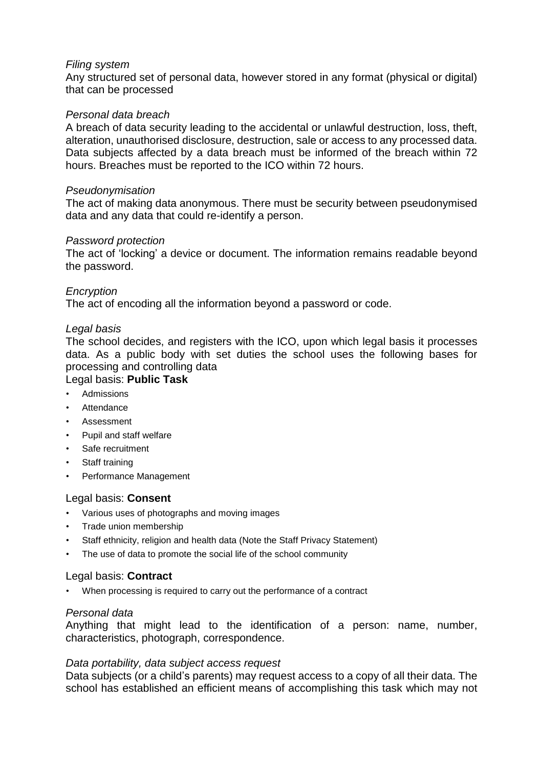### *Filing system*

Any structured set of personal data, however stored in any format (physical or digital) that can be processed

### *Personal data breach*

A breach of data security leading to the accidental or unlawful destruction, loss, theft, alteration, unauthorised disclosure, destruction, sale or access to any processed data. Data subjects affected by a data breach must be informed of the breach within 72 hours. Breaches must be reported to the ICO within 72 hours.

#### *Pseudonymisation*

The act of making data anonymous. There must be security between pseudonymised data and any data that could re-identify a person.

#### *Password protection*

The act of 'locking' a device or document. The information remains readable beyond the password.

### *Encryption*

The act of encoding all the information beyond a password or code.

### *Legal basis*

The school decides, and registers with the ICO, upon which legal basis it processes data. As a public body with set duties the school uses the following bases for processing and controlling data

## Legal basis: **Public Task**

- Admissions
- Attendance
- Assessment
- Pupil and staff welfare
- Safe recruitment
- Staff training
- Performance Management

## Legal basis: **Consent**

- Various uses of photographs and moving images
- Trade union membership
- Staff ethnicity, religion and health data (Note the Staff Privacy Statement)
- The use of data to promote the social life of the school community

#### Legal basis: **Contract**

• When processing is required to carry out the performance of a contract

#### *Personal data*

Anything that might lead to the identification of a person: name, number, characteristics, photograph, correspondence.

## *Data portability, data subject access request*

Data subjects (or a child's parents) may request access to a copy of all their data. The school has established an efficient means of accomplishing this task which may not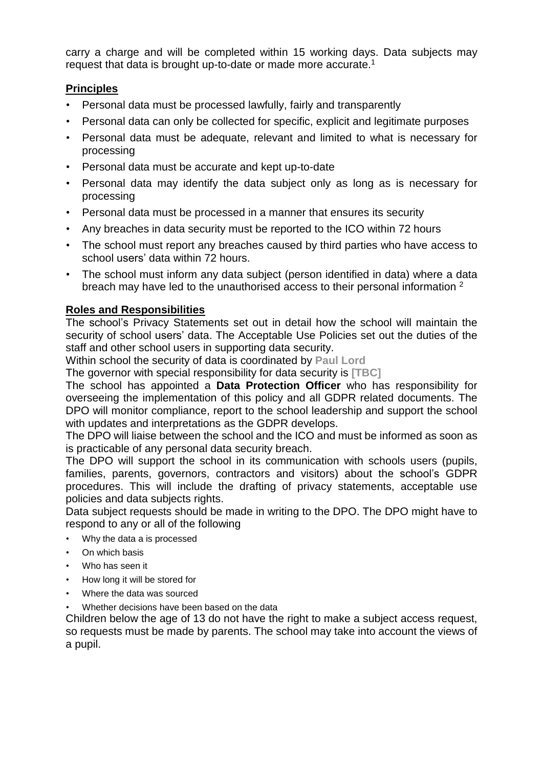carry a charge and will be completed within 15 working days. Data subjects may request that data is brought up-to-date or made more accurate.<sup>1</sup>

## **Principles**

- Personal data must be processed lawfully, fairly and transparently
- Personal data can only be collected for specific, explicit and legitimate purposes
- Personal data must be adequate, relevant and limited to what is necessary for processing
- Personal data must be accurate and kept up-to-date
- Personal data may identify the data subject only as long as is necessary for processing
- Personal data must be processed in a manner that ensures its security
- Any breaches in data security must be reported to the ICO within 72 hours
- The school must report any breaches caused by third parties who have access to school users' data within 72 hours.
- The school must inform any data subject (person identified in data) where a data breach may have led to the unauthorised access to their personal information <sup>2</sup>

## **Roles and Responsibilities**

The school's Privacy Statements set out in detail how the school will maintain the security of school users' data. The Acceptable Use Policies set out the duties of the staff and other school users in supporting data security.

Within school the security of data is coordinated by **Paul Lord**

The governor with special responsibility for data security is **[TBC]**

The school has appointed a **Data Protection Officer** who has responsibility for overseeing the implementation of this policy and all GDPR related documents. The DPO will monitor compliance, report to the school leadership and support the school with updates and interpretations as the GDPR develops.

The DPO will liaise between the school and the ICO and must be informed as soon as is practicable of any personal data security breach.

The DPO will support the school in its communication with schools users (pupils, families, parents, governors, contractors and visitors) about the school's GDPR procedures. This will include the drafting of privacy statements, acceptable use policies and data subjects rights.

Data subject requests should be made in writing to the DPO. The DPO might have to respond to any or all of the following

- Why the data a is processed
- On which basis
- Who has seen it
- How long it will be stored for
- Where the data was sourced
- Whether decisions have been based on the data

Children below the age of 13 do not have the right to make a subject access request, so requests must be made by parents. The school may take into account the views of a pupil.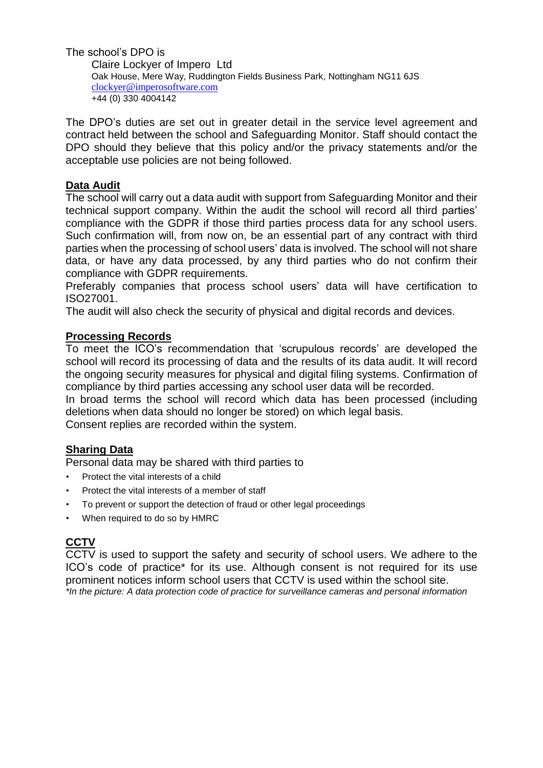The school's DPO is

Claire Lockyer of Impero Ltd Oak House, Mere Way, Ruddington Fields Business Park, Nottingham NG11 6JS [clockyer@imperosoftware.com](mailto:clockyer@imperosoftware.com) +44 (0) 330 4004142

The DPO's duties are set out in greater detail in the service level agreement and contract held between the school and Safeguarding Monitor. Staff should contact the DPO should they believe that this policy and/or the privacy statements and/or the acceptable use policies are not being followed.

## **Data Audit**

The school will carry out a data audit with support from Safeguarding Monitor and their technical support company. Within the audit the school will record all third parties' compliance with the GDPR if those third parties process data for any school users. Such confirmation will, from now on, be an essential part of any contract with third parties when the processing of school users' data is involved. The school will not share data, or have any data processed, by any third parties who do not confirm their compliance with GDPR requirements.

Preferably companies that process school users' data will have certification to ISO27001.

The audit will also check the security of physical and digital records and devices.

## **Processing Records**

To meet the ICO's recommendation that 'scrupulous records' are developed the school will record its processing of data and the results of its data audit. It will record the ongoing security measures for physical and digital filing systems. Confirmation of compliance by third parties accessing any school user data will be recorded.

In broad terms the school will record which data has been processed (including deletions when data should no longer be stored) on which legal basis.

Consent replies are recorded within the system.

## **Sharing Data**

Personal data may be shared with third parties to

- Protect the vital interests of a child
- Protect the vital interests of a member of staff
- To prevent or support the detection of fraud or other legal proceedings
- When required to do so by HMRC

## **CCTV**

CCTV is used to support the safety and security of school users. We adhere to the ICO's code of practice\* for its use. Although consent is not required for its use prominent notices inform school users that CCTV is used within the school site. *\*In the picture: A data protection code of practice for surveillance cameras and personal information*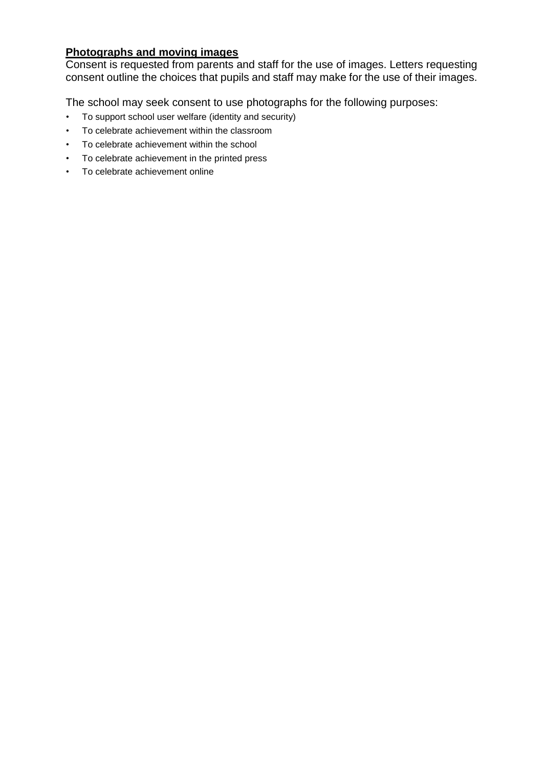## **Photographs and moving images**

Consent is requested from parents and staff for the use of images. Letters requesting consent outline the choices that pupils and staff may make for the use of their images.

The school may seek consent to use photographs for the following purposes:

- To support school user welfare (identity and security)
- To celebrate achievement within the classroom
- To celebrate achievement within the school
- To celebrate achievement in the printed press
- To celebrate achievement online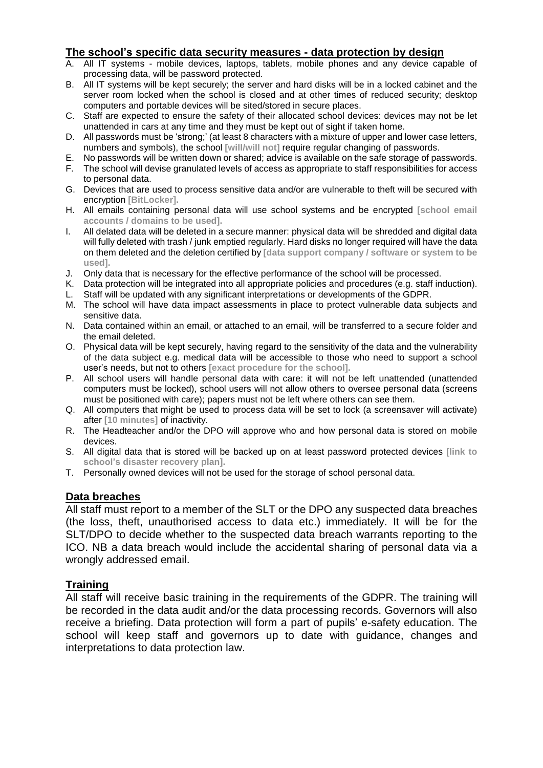### **The school's specific data security measures - data protection by design**

- A. All IT systems mobile devices, laptops, tablets, mobile phones and any device capable of processing data, will be password protected.
- B. All IT systems will be kept securely; the server and hard disks will be in a locked cabinet and the server room locked when the school is closed and at other times of reduced security; desktop computers and portable devices will be sited/stored in secure places.
- C. Staff are expected to ensure the safety of their allocated school devices: devices may not be let unattended in cars at any time and they must be kept out of sight if taken home.
- D. All passwords must be 'strong;' (at least 8 characters with a mixture of upper and lower case letters, numbers and symbols), the school **[will/will not]** require regular changing of passwords.
- E. No passwords will be written down or shared; advice is available on the safe storage of passwords.
- F. The school will devise granulated levels of access as appropriate to staff responsibilities for access to personal data.
- G. Devices that are used to process sensitive data and/or are vulnerable to theft will be secured with encryption **[BitLocker].**
- H. All emails containing personal data will use school systems and be encrypted **[school email accounts / domains to be used].**
- I. All delated data will be deleted in a secure manner: physical data will be shredded and digital data will fully deleted with trash / junk emptied regularly. Hard disks no longer required will have the data on them deleted and the deletion certified by **[data support company / software or system to be used].**
- J. Only data that is necessary for the effective performance of the school will be processed.
- K. Data protection will be integrated into all appropriate policies and procedures (e.g. staff induction).
- L. Staff will be updated with any significant interpretations or developments of the GDPR.
- M. The school will have data impact assessments in place to protect vulnerable data subjects and sensitive data.
- N. Data contained within an email, or attached to an email, will be transferred to a secure folder and the email deleted.
- O. Physical data will be kept securely, having regard to the sensitivity of the data and the vulnerability of the data subject e.g. medical data will be accessible to those who need to support a school user's needs, but not to others **[exact procedure for the school].**
- P. All school users will handle personal data with care: it will not be left unattended (unattended computers must be locked), school users will not allow others to oversee personal data (screens must be positioned with care); papers must not be left where others can see them.
- Q. All computers that might be used to process data will be set to lock (a screensaver will activate) after **[10 minutes]** of inactivity.
- R. The Headteacher and/or the DPO will approve who and how personal data is stored on mobile devices.
- S. All digital data that is stored will be backed up on at least password protected devices **[link to school's disaster recovery plan].**
- T. Personally owned devices will not be used for the storage of school personal data.

## **Data breaches**

All staff must report to a member of the SLT or the DPO any suspected data breaches (the loss, theft, unauthorised access to data etc.) immediately. It will be for the SLT/DPO to decide whether to the suspected data breach warrants reporting to the ICO. NB a data breach would include the accidental sharing of personal data via a wrongly addressed email.

## **Training**

All staff will receive basic training in the requirements of the GDPR. The training will be recorded in the data audit and/or the data processing records. Governors will also receive a briefing. Data protection will form a part of pupils' e-safety education. The school will keep staff and governors up to date with guidance, changes and interpretations to data protection law.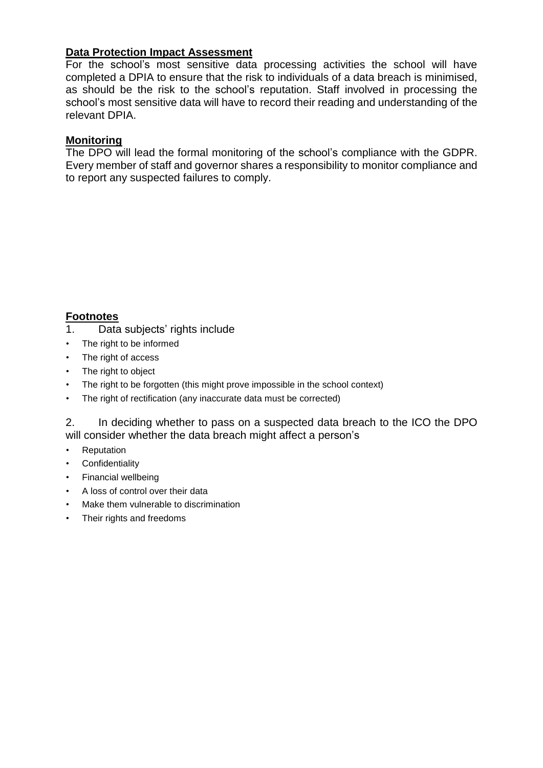## **Data Protection Impact Assessment**

For the school's most sensitive data processing activities the school will have completed a DPIA to ensure that the risk to individuals of a data breach is minimised, as should be the risk to the school's reputation. Staff involved in processing the school's most sensitive data will have to record their reading and understanding of the relevant DPIA.

### **Monitoring**

The DPO will lead the formal monitoring of the school's compliance with the GDPR. Every member of staff and governor shares a responsibility to monitor compliance and to report any suspected failures to comply.

## **Footnotes**

- 1. Data subjects' rights include
- The right to be informed
- The right of access
- The right to object
- The right to be forgotten (this might prove impossible in the school context)
- The right of rectification (any inaccurate data must be corrected)

2. In deciding whether to pass on a suspected data breach to the ICO the DPO will consider whether the data breach might affect a person's

- **Reputation**
- Confidentiality
- Financial wellbeing
- A loss of control over their data
- Make them vulnerable to discrimination
- Their rights and freedoms